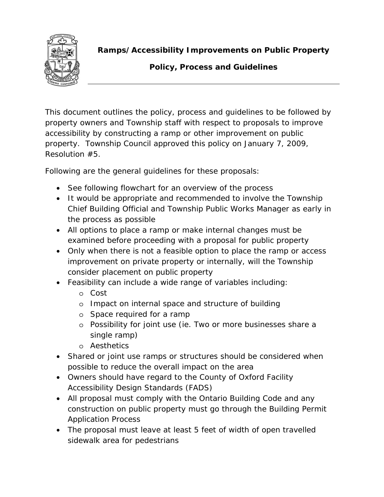

**Ramps/Accessibility Improvements on Public Property** 

# **Policy, Process and Guidelines**

This document outlines the policy, process and guidelines to be followed by property owners and Township staff with respect to proposals to improve accessibility by constructing a ramp or other improvement on public property. Township Council approved this policy on January 7, 2009, Resolution #5.

Following are the general guidelines for these proposals:

- See following flowchart for an overview of the process
- It would be appropriate and recommended to involve the Township Chief Building Official and Township Public Works Manager as early in the process as possible
- All options to place a ramp or make internal changes must be examined before proceeding with a proposal for public property
- Only when there is not a feasible option to place the ramp or access improvement on private property or internally, will the Township consider placement on public property
- Feasibility can include a wide range of variables including:
	- o Cost
	- o Impact on internal space and structure of building
	- o Space required for a ramp
	- o Possibility for joint use (ie. Two or more businesses share a single ramp)
	- o Aesthetics
- Shared or joint use ramps or structures should be considered when possible to reduce the overall impact on the area
- Owners should have regard to the County of Oxford Facility Accessibility Design Standards (FADS)
- All proposal must comply with the Ontario Building Code and any construction on public property must go through the Building Permit Application Process
- The proposal must leave at least 5 feet of width of open travelled sidewalk area for pedestrians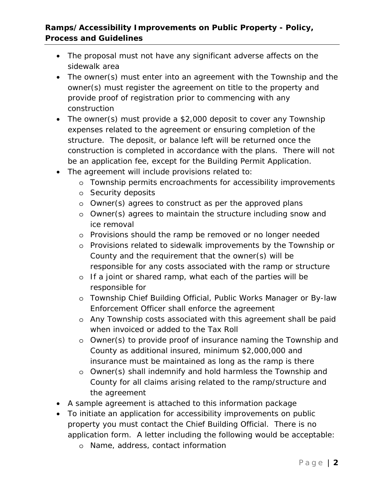## **Ramps/Accessibility Improvements on Public Property - Policy, Process and Guidelines**

- The proposal must not have any significant adverse affects on the sidewalk area
- The owner(s) must enter into an agreement with the Township and the owner(s) must register the agreement on title to the property and provide proof of registration prior to commencing with any construction
- The owner(s) must provide a \$2,000 deposit to cover any Township expenses related to the agreement or ensuring completion of the structure. The deposit, or balance left will be returned once the construction is completed in accordance with the plans. There will not be an application fee, except for the Building Permit Application.
- The agreement will include provisions related to:
	- o Township permits encroachments for accessibility improvements
	- o Security deposits
	- o Owner(s) agrees to construct as per the approved plans
	- o Owner(s) agrees to maintain the structure including snow and ice removal
	- o Provisions should the ramp be removed or no longer needed
	- o Provisions related to sidewalk improvements by the Township or County and the requirement that the owner(s) will be responsible for any costs associated with the ramp or structure
	- o If a joint or shared ramp, what each of the parties will be responsible for
	- o Township Chief Building Official, Public Works Manager or By-law Enforcement Officer shall enforce the agreement
	- o Any Township costs associated with this agreement shall be paid when invoiced or added to the Tax Roll
	- o Owner(s) to provide proof of insurance naming the Township and County as additional insured, minimum \$2,000,000 and insurance must be maintained as long as the ramp is there
	- o Owner(s) shall indemnify and hold harmless the Township and County for all claims arising related to the ramp/structure and the agreement
- A sample agreement is attached to this information package
- To initiate an application for accessibility improvements on public property you must contact the Chief Building Official. There is no application form. A letter including the following would be acceptable:
	- o Name, address, contact information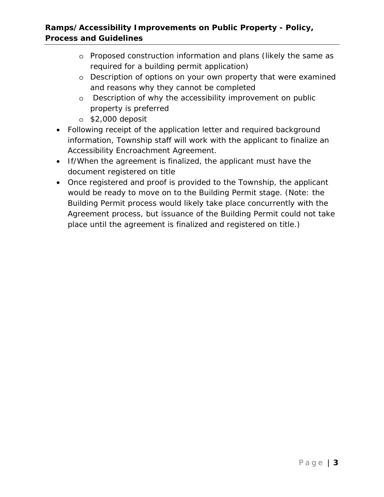## **Ramps/Accessibility Improvements on Public Property - Policy, Process and Guidelines**

- o Proposed construction information and plans (likely the same as required for a building permit application)
- o Description of options on your own property that were examined and reasons why they cannot be completed
- o Description of why the accessibility improvement on public property is preferred
- o \$2,000 deposit
- Following receipt of the application letter and required background information, Township staff will work with the applicant to finalize an Accessibility Encroachment Agreement.
- If/When the agreement is finalized, the applicant must have the document registered on title
- Once registered and proof is provided to the Township, the applicant would be ready to move on to the Building Permit stage. (Note: the Building Permit process would likely take place concurrently with the Agreement process, but issuance of the Building Permit could not take place until the agreement is finalized and registered on title.)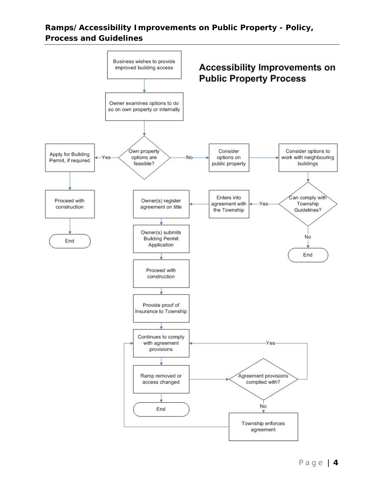#### **Ramps/Accessibility Improvements on Public Property - Policy, Process and Guidelines**

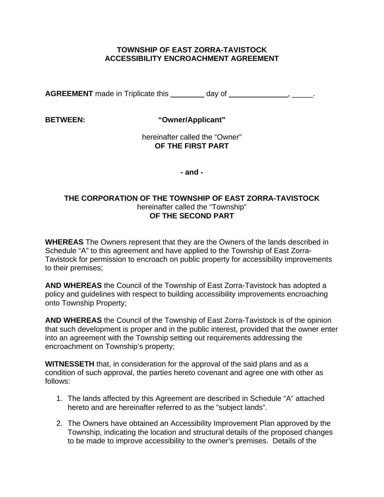#### **TOWNSHIP OF EAST ZORRA-TAVISTOCK ACCESSIBILITY ENCROACHMENT AGREEMENT**

**AGREEMENT** made in Triplicate this day of **discussed and the same of the same of**  $\frac{1}{2}$ .

**BETWEEN: "Owner/Applicant"** 

 hereinafter called the "Owner" **OF THE FIRST PART** 

**- and -** 

#### **THE CORPORATION OF THE TOWNSHIP OF EAST ZORRA-TAVISTOCK**  hereinafter called the "Township" **OF THE SECOND PART**

**WHEREAS** The Owners represent that they are the Owners of the lands described in Schedule "A" to this agreement and have applied to the Township of East Zorra-Tavistock for permission to encroach on public property for accessibility improvements to their premises;

**AND WHEREAS** the Council of the Township of East Zorra-Tavistock has adopted a policy and guidelines with respect to building accessibility improvements encroaching onto Township Property;

**AND WHEREAS** the Council of the Township of East Zorra-Tavistock is of the opinion that such development is proper and in the public interest, provided that the owner enter into an agreement with the Township setting out requirements addressing the encroachment on Township's property;

**WITNESSETH** that, in consideration for the approval of the said plans and as a condition of such approval, the parties hereto covenant and agree one with other as follows:

- 1. The lands affected by this Agreement are described in Schedule "A" attached hereto and are hereinafter referred to as the "subject lands".
- 2. The Owners have obtained an Accessibility Improvement Plan approved by the Township, indicating the location and structural details of the proposed changes to be made to improve accessibility to the owner's premises. Details of the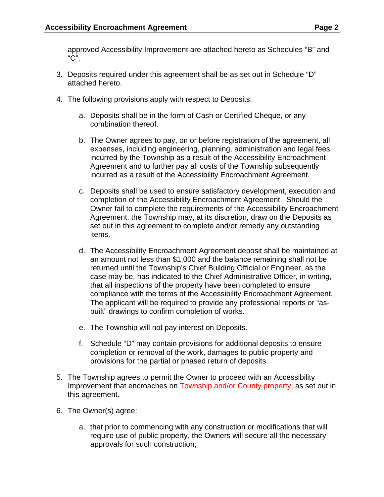approved Accessibility Improvement are attached hereto as Schedules "B" and "C".

- 3. Deposits required under this agreement shall be as set out in Schedule "D" attached hereto.
- 4. The following provisions apply with respect to Deposits:
	- a. Deposits shall be in the form of Cash or Certified Cheque, or any combination thereof.
	- b. The Owner agrees to pay, on or before registration of the agreement, all expenses, including engineering, planning, administration and legal fees incurred by the Township as a result of the Accessibility Encroachment Agreement and to further pay all costs of the Township subsequently incurred as a result of the Accessibility Encroachment Agreement.
	- c. Deposits shall be used to ensure satisfactory development, execution and completion of the Accessibility Encroachment Agreement. Should the Owner fail to complete the requirements of the Accessibility Encroachment Agreement, the Township may, at its discretion, draw on the Deposits as set out in this agreement to complete and/or remedy any outstanding items.
	- d. The Accessibility Encroachment Agreement deposit shall be maintained at an amount not less than \$1,000 and the balance remaining shall not be returned until the Township's Chief Building Official or Engineer, as the case may be, has indicated to the Chief Administrative Officer, in writing, that all inspections of the property have been completed to ensure compliance with the terms of the Accessibility Encroachment Agreement. The applicant will be required to provide any professional reports or "asbuilt" drawings to confirm completion of works.
	- e. The Township will not pay interest on Deposits.
	- f. Schedule "D" may contain provisions for additional deposits to ensure completion or removal of the work, damages to public property and provisions for the partial or phased return of deposits.
- 5. The Township agrees to permit the Owner to proceed with an Accessibility Improvement that encroaches on Township and/or County property, as set out in this agreement.
- 6. The Owner(s) agree:
	- a. that prior to commencing with any construction or modifications that will require use of public property, the Owners will secure all the necessary approvals for such construction;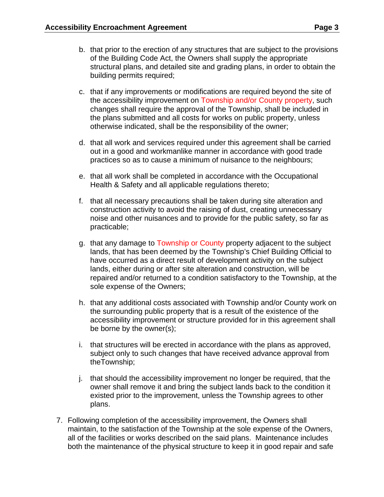- b. that prior to the erection of any structures that are subject to the provisions of the Building Code Act, the Owners shall supply the appropriate structural plans, and detailed site and grading plans, in order to obtain the building permits required;
- c. that if any improvements or modifications are required beyond the site of the accessibility improvement on Township and/or County property, such changes shall require the approval of the Township, shall be included in the plans submitted and all costs for works on public property, unless otherwise indicated, shall be the responsibility of the owner;
- d. that all work and services required under this agreement shall be carried out in a good and workmanlike manner in accordance with good trade practices so as to cause a minimum of nuisance to the neighbours;
- e. that all work shall be completed in accordance with the Occupational Health & Safety and all applicable regulations thereto;
- f. that all necessary precautions shall be taken during site alteration and construction activity to avoid the raising of dust, creating unnecessary noise and other nuisances and to provide for the public safety, so far as practicable;
- g. that any damage to Township or County property adjacent to the subject lands, that has been deemed by the Township's Chief Building Official to have occurred as a direct result of development activity on the subject lands, either during or after site alteration and construction, will be repaired and/or returned to a condition satisfactory to the Township, at the sole expense of the Owners;
- h. that any additional costs associated with Township and/or County work on the surrounding public property that is a result of the existence of the accessibility improvement or structure provided for in this agreement shall be borne by the owner(s);
- i. that structures will be erected in accordance with the plans as approved, subject only to such changes that have received advance approval from theTownship;
- j. that should the accessibility improvement no longer be required, that the owner shall remove it and bring the subject lands back to the condition it existed prior to the improvement, unless the Township agrees to other plans.
- 7. Following completion of the accessibility improvement, the Owners shall maintain, to the satisfaction of the Township at the sole expense of the Owners, all of the facilities or works described on the said plans. Maintenance includes both the maintenance of the physical structure to keep it in good repair and safe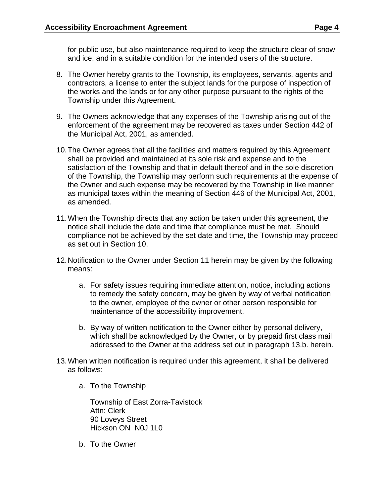for public use, but also maintenance required to keep the structure clear of snow and ice, and in a suitable condition for the intended users of the structure.

- 8. The Owner hereby grants to the Township, its employees, servants, agents and contractors, a license to enter the subject lands for the purpose of inspection of the works and the lands or for any other purpose pursuant to the rights of the Township under this Agreement.
- 9. The Owners acknowledge that any expenses of the Township arising out of the enforcement of the agreement may be recovered as taxes under Section 442 of the Municipal Act, 2001, as amended.
- 10. The Owner agrees that all the facilities and matters required by this Agreement shall be provided and maintained at its sole risk and expense and to the satisfaction of the Township and that in default thereof and in the sole discretion of the Township, the Township may perform such requirements at the expense of the Owner and such expense may be recovered by the Township in like manner as municipal taxes within the meaning of Section 446 of the Municipal Act, 2001, as amended.
- 11. When the Township directs that any action be taken under this agreement, the notice shall include the date and time that compliance must be met. Should compliance not be achieved by the set date and time, the Township may proceed as set out in Section 10.
- 12. Notification to the Owner under Section 11 herein may be given by the following means:
	- a. For safety issues requiring immediate attention, notice, including actions to remedy the safety concern, may be given by way of verbal notification to the owner, employee of the owner or other person responsible for maintenance of the accessibility improvement.
	- b. By way of written notification to the Owner either by personal delivery, which shall be acknowledged by the Owner, or by prepaid first class mail addressed to the Owner at the address set out in paragraph 13.b. herein.
- 13. When written notification is required under this agreement, it shall be delivered as follows:
	- a. To the Township

Township of East Zorra-Tavistock Attn: Clerk 90 Loveys Street Hickson ON N0J 1L0

b. To the Owner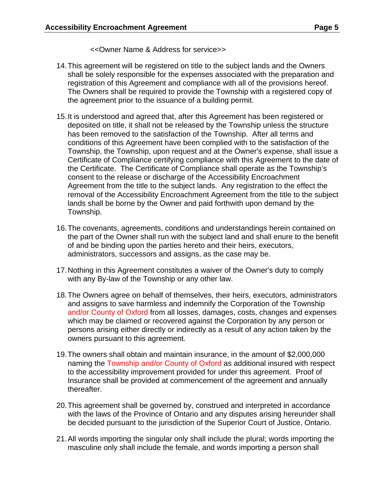<<Owner Name & Address for service>>

- 14. This agreement will be registered on title to the subject lands and the Owners shall be solely responsible for the expenses associated with the preparation and registration of this Agreement and compliance with all of the provisions hereof. The Owners shall be required to provide the Township with a registered copy of the agreement prior to the issuance of a building permit.
- 15. It is understood and agreed that, after this Agreement has been registered or deposited on title, it shall not be released by the Township unless the structure has been removed to the satisfaction of the Township. After all terms and conditions of this Agreement have been complied with to the satisfaction of the Township, the Township, upon request and at the Owner's expense, shall issue a Certificate of Compliance certifying compliance with this Agreement to the date of the Certificate. The Certificate of Compliance shall operate as the Township's consent to the release or discharge of the Accessibility Encroachment Agreement from the title to the subject lands. Any registration to the effect the removal of the Accessibility Encroachment Agreement from the title to the subject lands shall be borne by the Owner and paid forthwith upon demand by the Township.
- 16. The covenants, agreements, conditions and understandings herein contained on the part of the Owner shall run with the subject land and shall enure to the benefit of and be binding upon the parties hereto and their heirs, executors, administrators, successors and assigns, as the case may be.
- 17. Nothing in this Agreement constitutes a waiver of the Owner's duty to comply with any By-law of the Township or any other law.
- 18. The Owners agree on behalf of themselves, their heirs, executors, administrators and assigns to save harmless and indemnify the Corporation of the Township and/or County of Oxford from all losses, damages, costs, changes and expenses which may be claimed or recovered against the Corporation by any person or persons arising either directly or indirectly as a result of any action taken by the owners pursuant to this agreement.
- 19. The owners shall obtain and maintain insurance, in the amount of \$2,000,000 naming the Township and/or County of Oxford as additional insured with respect to the accessibility improvement provided for under this agreement. Proof of Insurance shall be provided at commencement of the agreement and annually thereafter.
- 20. This agreement shall be governed by, construed and interpreted in accordance with the laws of the Province of Ontario and any disputes arising hereunder shall be decided pursuant to the jurisdiction of the Superior Court of Justice, Ontario.
- 21. All words importing the singular only shall include the plural; words importing the masculine only shall include the female, and words importing a person shall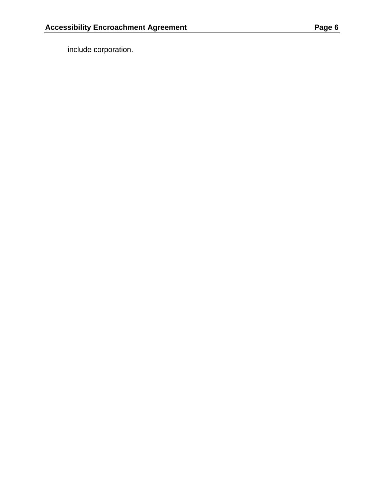include corporation.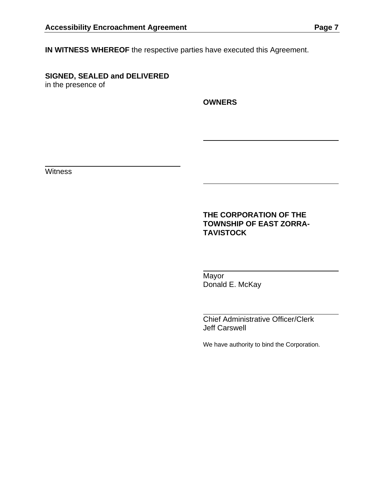**IN WITNESS WHEREOF** the respective parties have executed this Agreement.

**SIGNED, SEALED and DELIVERED** in the presence of

**OWNERS** 

**Witness** 

#### **THE CORPORATION OF THE TOWNSHIP OF EAST ZORRA-TAVISTOCK**

 Mayor Donald E. McKay

 Chief Administrative Officer/Clerk Jeff Carswell

We have authority to bind the Corporation.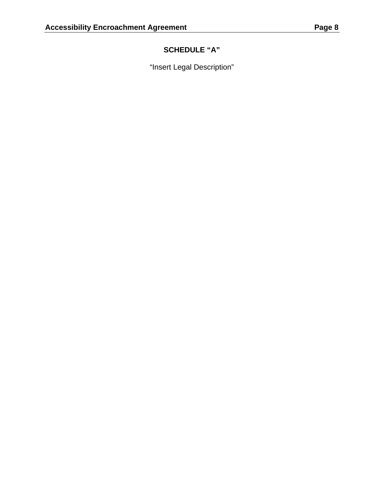## **SCHEDULE "A"**

"Insert Legal Description"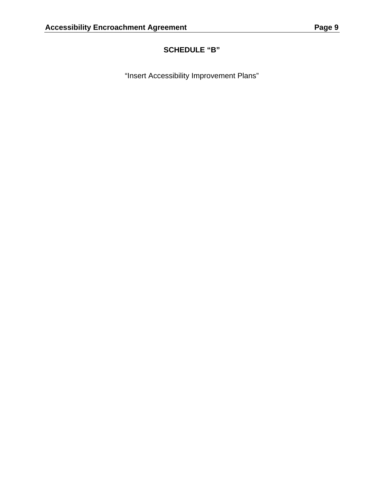# **SCHEDULE "B"**

"Insert Accessibility Improvement Plans"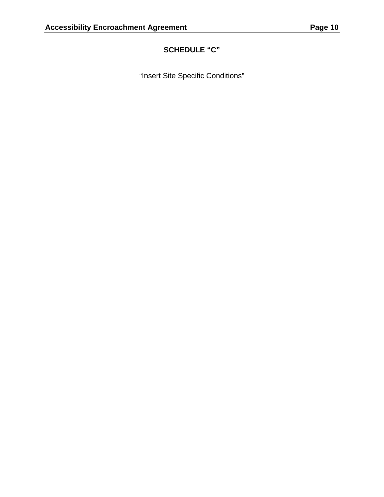# **SCHEDULE "C"**

"Insert Site Specific Conditions"